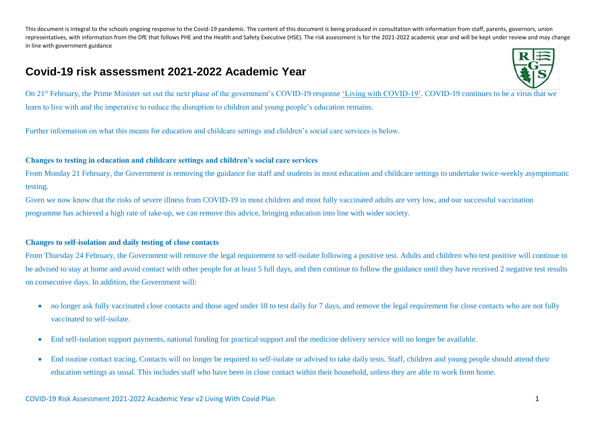# **Covid-19 risk assessment 2021-2022 Academic Year**



On 21st February, the Prime Minister set out the next phase of the government's COVID-19 response ['Living with COVID-19'.](https://www.gov.uk/government/publications/covid-19-response-living-with-covid-19?utm_source=21%20February%202022%20C19&utm_medium=Daily%20Email%20C19&utm_campaign=DfE%20C19) COVID-19 continues to be a virus that we learn to live with and the imperative to reduce the disruption to children and young people's education remains.

Further information on what this means for education and childcare settings and children's social care services is below.

### **Changes to testing in education and childcare settings and children's social care services**

From Monday 21 February, the Government is removing the guidance for staff and students in most education and childcare settings to undertake twice-weekly asymptomatic testing.

Given we now know that the risks of severe illness from COVID-19 in most children and most fully vaccinated adults are very low, and our successful vaccination programme has achieved a high rate of take-up, we can remove this advice, bringing education into line with wider society.

## **Changes to self-isolation and daily testing of close contacts**

From Thursday 24 February, the Government will remove the legal requirement to self-isolate following a positive test. Adults and children who test positive will continue to be advised to stay at home and avoid contact with other people for at least 5 full days, and then continue to follow the guidance until they have received 2 negative test results on consecutive days. In addition, the Government will:

- no longer ask fully vaccinated close contacts and those aged under 18 to test daily for 7 days, and remove the legal requirement for close contacts who are not fully vaccinated to self-isolate.
- End self-isolation support payments, national funding for practical support and the medicine delivery service will no longer be available.
- End routine contact tracing. Contacts will no longer be required to self-isolate or advised to take daily tests. Staff, children and young people should attend their education settings as usual. This includes staff who have been in close contact within their household, unless they are able to work from home.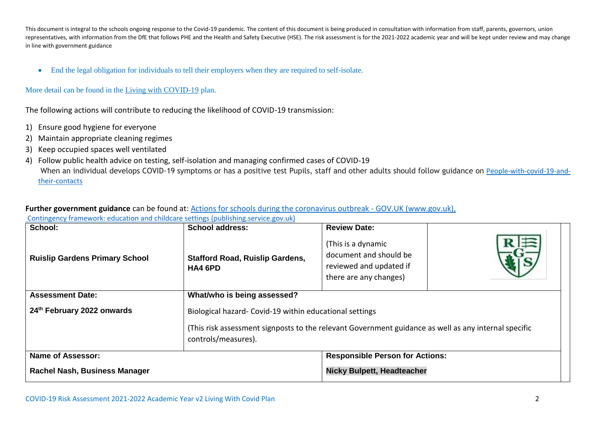End the legal obligation for individuals to tell their employers when they are required to self-isolate.

## More detail can be found in the [Living with COVID-19](https://www.gov.uk/government/publications/covid-19-response-living-with-covid-19?utm_source=21%20February%202022%20C19&utm_medium=Daily%20Email%20C19&utm_campaign=DfE%20C19) plan.

The following actions will contribute to reducing the likelihood of COVID-19 transmission:

- 1) Ensure good hygiene for everyone
- 2) Maintain appropriate cleaning regimes
- 3) Keep occupied spaces well ventilated
- 4) Follow public health advice on testing, self-isolation and managing confirmed cases of COVID-19 When an individual develops COVID-19 symptoms or has a positive test Pupils, staff and other adults should follow guidance on [People-with-covid-19-and](https://www.gov.uk/government/publications/covid-19-people-with-covid-19-and-their-contacts)[their-contacts](https://www.gov.uk/government/publications/covid-19-people-with-covid-19-and-their-contacts)

## **Further government guidance** can be found at: [Actions for schools during the coronavirus outbreak -](https://assets.publishing.service.gov.uk/government/uploads/system/uploads/attachment_data/file/1057106/220224_Schools_guidance.pdf) GOV.UK (www.gov.uk),

| School:                               | <b>School address:</b>                                  | <b>Review Date:</b>                                                                                  |  |  |  |  |  |  |
|---------------------------------------|---------------------------------------------------------|------------------------------------------------------------------------------------------------------|--|--|--|--|--|--|
| <b>Ruislip Gardens Primary School</b> | <b>Stafford Road, Ruislip Gardens,</b><br>HA4 6PD       | (This is a dynamic<br>document and should be<br>reviewed and updated if<br>there are any changes)    |  |  |  |  |  |  |
| <b>Assessment Date:</b>               | What/who is being assessed?                             |                                                                                                      |  |  |  |  |  |  |
| 24th February 2022 onwards            | Biological hazard- Covid-19 within educational settings |                                                                                                      |  |  |  |  |  |  |
|                                       | controls/measures).                                     | (This risk assessment signposts to the relevant Government guidance as well as any internal specific |  |  |  |  |  |  |
| <b>Name of Assessor:</b>              |                                                         | <b>Responsible Person for Actions:</b>                                                               |  |  |  |  |  |  |
| Rachel Nash, Business Manager         |                                                         | <b>Nicky Bulpett, Headteacher</b>                                                                    |  |  |  |  |  |  |

[Contingency framework: education and childcare settings \(publishing.service.gov.uk\)](https://assets.publishing.service.gov.uk/government/uploads/system/uploads/attachment_data/file/1057141/Contingency_framework_education_and_childcare_settings_February_2022.pdf)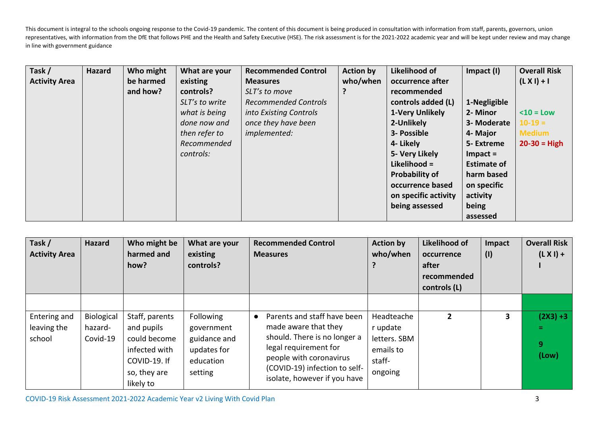| Task /               | <b>Hazard</b> | Who might | What are your  | <b>Recommended Control</b>  | <b>Action by</b> | Likelihood of         | Impact (I)         | <b>Overall Risk</b> |
|----------------------|---------------|-----------|----------------|-----------------------------|------------------|-----------------------|--------------------|---------------------|
| <b>Activity Area</b> |               | be harmed | existing       | <b>Measures</b>             | who/when         | occurrence after      |                    | $(L X I) + I$       |
|                      |               | and how?  | controls?      | SLT's to move               |                  | recommended           |                    |                     |
|                      |               |           | SLT's to write | <b>Recommended Controls</b> |                  | controls added (L)    | 1-Negligible       |                     |
|                      |               |           | what is being  | into Existing Controls      |                  | 1-Very Unlikely       | 2- Minor           | $10 = Low$          |
|                      |               |           | done now and   | once they have been         |                  | 2-Unlikely            | 3- Moderate        | $10-19 =$           |
|                      |               |           | then refer to  | <i>implemented:</i>         |                  | 3- Possible           | 4- Major           | <b>Medium</b>       |
|                      |               |           | Recommended    |                             |                  | 4- Likely             | 5- Extreme         | $20 - 30 = High$    |
|                      |               |           | controls:      |                             |                  | 5- Very Likely        | $Im$ pact =        |                     |
|                      |               |           |                |                             |                  | Likelihood =          | <b>Estimate of</b> |                     |
|                      |               |           |                |                             |                  | <b>Probability of</b> | harm based         |                     |
|                      |               |           |                |                             |                  | occurrence based      | on specific        |                     |
|                      |               |           |                |                             |                  | on specific activity  | activity           |                     |
|                      |               |           |                |                             |                  | being assessed        | being              |                     |
|                      |               |           |                |                             |                  |                       | assessed           |                     |

| Task /<br><b>Activity Area</b>        | <b>Hazard</b>                     | Who might be<br>harmed and<br>how?                                                                         | What are your<br>existing<br>controls?                                                | <b>Recommended Control</b><br><b>Measures</b>                                                                                                                                                            | <b>Action by</b><br>who/when                                             | Likelihood of<br>occurrence<br>after<br>recommended<br>controls (L) | Impact<br>(1) | <b>Overall Risk</b><br>$(L X I) +$    |
|---------------------------------------|-----------------------------------|------------------------------------------------------------------------------------------------------------|---------------------------------------------------------------------------------------|----------------------------------------------------------------------------------------------------------------------------------------------------------------------------------------------------------|--------------------------------------------------------------------------|---------------------------------------------------------------------|---------------|---------------------------------------|
| Entering and<br>leaving the<br>school | Biological<br>hazard-<br>Covid-19 | Staff, parents<br>and pupils<br>could become<br>infected with<br>COVID-19. If<br>so, they are<br>likely to | <b>Following</b><br>government<br>guidance and<br>updates for<br>education<br>setting | Parents and staff have been<br>made aware that they<br>should. There is no longer a<br>legal requirement for<br>people with coronavirus<br>(COVID-19) infection to self-<br>isolate, however if you have | Headteache<br>r update<br>letters. SBM<br>emails to<br>staff-<br>ongoing | $\overline{2}$                                                      | 3             | $(2X3) + 3$<br>Ξ.<br>9<br>$($ Low $)$ |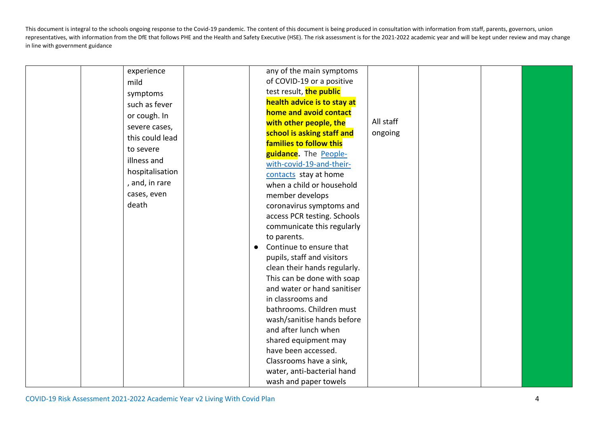| experience      |           | any of the main symptoms     |           |  |  |
|-----------------|-----------|------------------------------|-----------|--|--|
| mild            |           | of COVID-19 or a positive    |           |  |  |
| symptoms        |           | test result, the public      |           |  |  |
| such as fever   |           | health advice is to stay at  |           |  |  |
| or cough. In    |           | home and avoid contact       |           |  |  |
| severe cases,   |           | with other people, the       | All staff |  |  |
| this could lead |           | school is asking staff and   | ongoing   |  |  |
| to severe       |           | families to follow this      |           |  |  |
|                 |           | guidance. The People-        |           |  |  |
| illness and     |           | with-covid-19-and-their-     |           |  |  |
| hospitalisation |           | contacts stay at home        |           |  |  |
| , and, in rare  |           | when a child or household    |           |  |  |
| cases, even     |           | member develops              |           |  |  |
| death           |           | coronavirus symptoms and     |           |  |  |
|                 |           | access PCR testing. Schools  |           |  |  |
|                 |           | communicate this regularly   |           |  |  |
|                 |           | to parents.                  |           |  |  |
|                 | $\bullet$ | Continue to ensure that      |           |  |  |
|                 |           | pupils, staff and visitors   |           |  |  |
|                 |           | clean their hands regularly. |           |  |  |
|                 |           | This can be done with soap   |           |  |  |
|                 |           | and water or hand sanitiser  |           |  |  |
|                 |           | in classrooms and            |           |  |  |
|                 |           | bathrooms. Children must     |           |  |  |
|                 |           | wash/sanitise hands before   |           |  |  |
|                 |           | and after lunch when         |           |  |  |
|                 |           | shared equipment may         |           |  |  |
|                 |           | have been accessed.          |           |  |  |
|                 |           | Classrooms have a sink,      |           |  |  |
|                 |           | water, anti-bacterial hand   |           |  |  |
|                 |           | wash and paper towels        |           |  |  |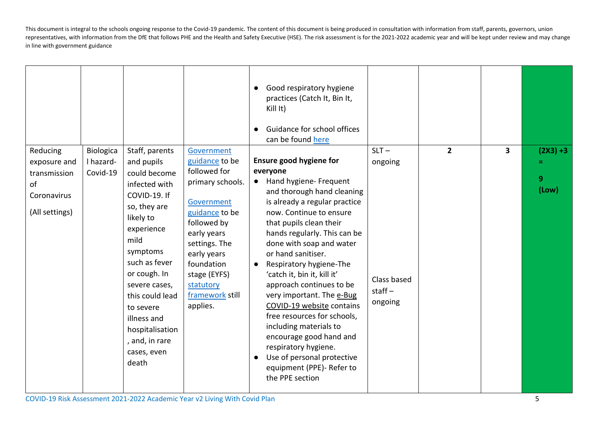|                                                                                 |                                    |                                                                                                                                                                                                                                                                                                            |                                                                                                                                                                                                                                          | Good respiratory hygiene<br>$\bullet$<br>practices (Catch It, Bin It,<br>Kill It)<br>Guidance for school offices<br>$\bullet$<br>can be found here                                                                                                                                                                                                                                                                                                                                                                                                                                                                                       |                                                          |                |   |                           |
|---------------------------------------------------------------------------------|------------------------------------|------------------------------------------------------------------------------------------------------------------------------------------------------------------------------------------------------------------------------------------------------------------------------------------------------------|------------------------------------------------------------------------------------------------------------------------------------------------------------------------------------------------------------------------------------------|------------------------------------------------------------------------------------------------------------------------------------------------------------------------------------------------------------------------------------------------------------------------------------------------------------------------------------------------------------------------------------------------------------------------------------------------------------------------------------------------------------------------------------------------------------------------------------------------------------------------------------------|----------------------------------------------------------|----------------|---|---------------------------|
| Reducing<br>exposure and<br>transmission<br>of<br>Coronavirus<br>(All settings) | Biologica<br>I hazard-<br>Covid-19 | Staff, parents<br>and pupils<br>could become<br>infected with<br>COVID-19. If<br>so, they are<br>likely to<br>experience<br>mild<br>symptoms<br>such as fever<br>or cough. In<br>severe cases,<br>this could lead<br>to severe<br>illness and<br>hospitalisation<br>, and, in rare<br>cases, even<br>death | Government<br>guidance to be<br>followed for<br>primary schools.<br>Government<br>guidance to be<br>followed by<br>early years<br>settings. The<br>early years<br>foundation<br>stage (EYFS)<br>statutory<br>framework still<br>applies. | Ensure good hygiene for<br>everyone<br>Hand hygiene- Frequent<br>$\bullet$<br>and thorough hand cleaning<br>is already a regular practice<br>now. Continue to ensure<br>that pupils clean their<br>hands regularly. This can be<br>done with soap and water<br>or hand sanitiser.<br>Respiratory hygiene-The<br>'catch it, bin it, kill it'<br>approach continues to be<br>very important. The e-Bug<br>COVID-19 website contains<br>free resources for schools,<br>including materials to<br>encourage good hand and<br>respiratory hygiene.<br>Use of personal protective<br>$\bullet$<br>equipment (PPE)- Refer to<br>the PPE section | $SLT -$<br>ongoing<br>Class based<br>$stat -$<br>ongoing | $\overline{2}$ | 3 | $(2X3) + 3$<br>9<br>(Low) |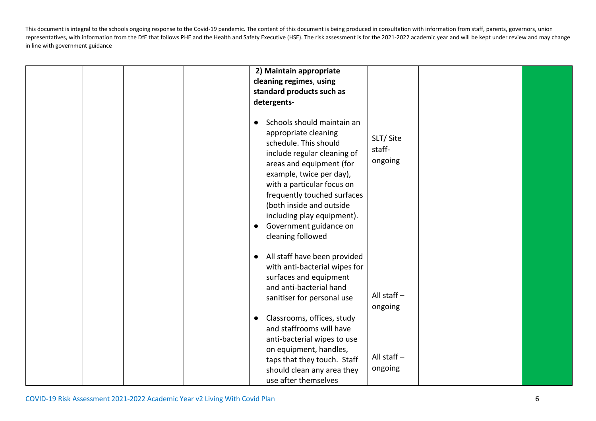|  | 2) Maintain appropriate<br>cleaning regimes, using<br>standard products such as<br>detergents-<br>Schools should maintain an<br>appropriate cleaning<br>schedule. This should<br>include regular cleaning of<br>areas and equipment (for<br>example, twice per day),<br>with a particular focus on<br>frequently touched surfaces<br>(both inside and outside<br>including play equipment).<br>Government guidance on<br>cleaning followed | SLT/Site<br>staff-<br>ongoing             |  |  |
|--|--------------------------------------------------------------------------------------------------------------------------------------------------------------------------------------------------------------------------------------------------------------------------------------------------------------------------------------------------------------------------------------------------------------------------------------------|-------------------------------------------|--|--|
|  | All staff have been provided<br>with anti-bacterial wipes for<br>surfaces and equipment<br>and anti-bacterial hand<br>sanitiser for personal use<br>Classrooms, offices, study<br>and staffrooms will have<br>anti-bacterial wipes to use<br>on equipment, handles,<br>taps that they touch. Staff                                                                                                                                         | All staff $-$<br>ongoing<br>All staff $-$ |  |  |
|  | should clean any area they<br>use after themselves                                                                                                                                                                                                                                                                                                                                                                                         | ongoing                                   |  |  |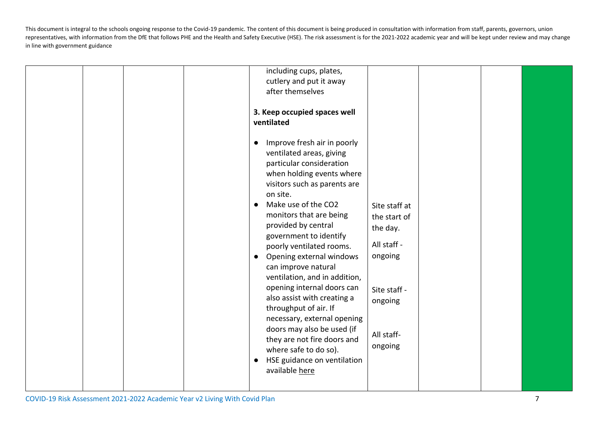| including cups, plates,                                                                                                                                                                                                                                                                                                                                                                                                                                                                                                                                                                                                                                                                                                                                                         |                                                                                                                         |
|---------------------------------------------------------------------------------------------------------------------------------------------------------------------------------------------------------------------------------------------------------------------------------------------------------------------------------------------------------------------------------------------------------------------------------------------------------------------------------------------------------------------------------------------------------------------------------------------------------------------------------------------------------------------------------------------------------------------------------------------------------------------------------|-------------------------------------------------------------------------------------------------------------------------|
| cutlery and put it away<br>after themselves<br>3. Keep occupied spaces well<br>ventilated<br>Improve fresh air in poorly<br>ventilated areas, giving<br>particular consideration<br>when holding events where<br>visitors such as parents are<br>on site.<br>Make use of the CO2<br>$\bullet$<br>monitors that are being<br>provided by central<br>government to identify<br>poorly ventilated rooms.<br>Opening external windows<br>$\bullet$<br>can improve natural<br>ventilation, and in addition,<br>opening internal doors can<br>also assist with creating a<br>throughput of air. If<br>necessary, external opening<br>doors may also be used (if<br>they are not fire doors and<br>where safe to do so).<br>HSE guidance on ventilation<br>$\bullet$<br>available here | Site staff at<br>the start of<br>the day.<br>All staff -<br>ongoing<br>Site staff -<br>ongoing<br>All staff-<br>ongoing |
|                                                                                                                                                                                                                                                                                                                                                                                                                                                                                                                                                                                                                                                                                                                                                                                 |                                                                                                                         |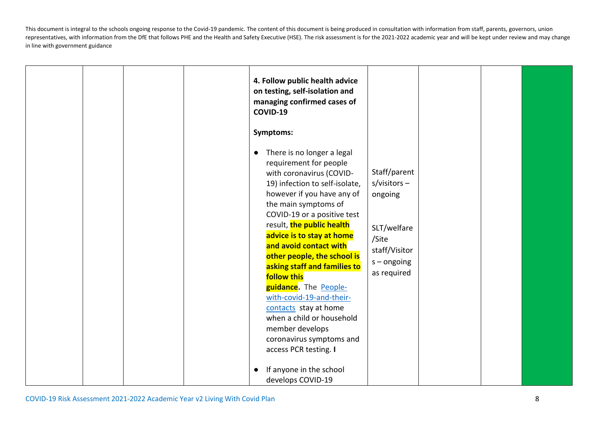|  | 4. Follow public health advice<br>on testing, self-isolation and<br>managing confirmed cases of<br>COVID-19                                                                                                                                                                                                                                                                                                                                                                                                                                                                                   |                                                                                                                    |  |  |
|--|-----------------------------------------------------------------------------------------------------------------------------------------------------------------------------------------------------------------------------------------------------------------------------------------------------------------------------------------------------------------------------------------------------------------------------------------------------------------------------------------------------------------------------------------------------------------------------------------------|--------------------------------------------------------------------------------------------------------------------|--|--|
|  | Symptoms:<br>There is no longer a legal<br>$\bullet$<br>requirement for people<br>with coronavirus (COVID-<br>19) infection to self-isolate,<br>however if you have any of<br>the main symptoms of<br>COVID-19 or a positive test<br>result, the public health<br>advice is to stay at home<br>and avoid contact with<br>other people, the school is<br>asking staff and families to<br><b>follow this</b><br>guidance. The People-<br>with-covid-19-and-their-<br>contacts stay at home<br>when a child or household<br>member develops<br>coronavirus symptoms and<br>access PCR testing. I | Staff/parent<br>$s/visitors -$<br>ongoing<br>SLT/welfare<br>/Site<br>staff/Visitor<br>$s$ – ongoing<br>as required |  |  |
|  | If anyone in the school<br>develops COVID-19                                                                                                                                                                                                                                                                                                                                                                                                                                                                                                                                                  |                                                                                                                    |  |  |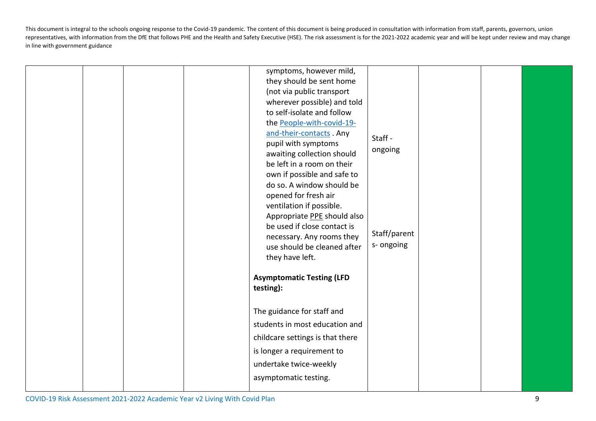|  |  | symptoms, however mild,          |              |  |  |
|--|--|----------------------------------|--------------|--|--|
|  |  | they should be sent home         |              |  |  |
|  |  | (not via public transport        |              |  |  |
|  |  | wherever possible) and told      |              |  |  |
|  |  | to self-isolate and follow       |              |  |  |
|  |  | the People-with-covid-19-        |              |  |  |
|  |  | and-their-contacts . Any         | Staff -      |  |  |
|  |  | pupil with symptoms              | ongoing      |  |  |
|  |  | awaiting collection should       |              |  |  |
|  |  | be left in a room on their       |              |  |  |
|  |  | own if possible and safe to      |              |  |  |
|  |  | do so. A window should be        |              |  |  |
|  |  | opened for fresh air             |              |  |  |
|  |  | ventilation if possible.         |              |  |  |
|  |  | Appropriate PPE should also      |              |  |  |
|  |  | be used if close contact is      | Staff/parent |  |  |
|  |  | necessary. Any rooms they        | s- ongoing   |  |  |
|  |  | use should be cleaned after      |              |  |  |
|  |  | they have left.                  |              |  |  |
|  |  | <b>Asymptomatic Testing (LFD</b> |              |  |  |
|  |  | testing):                        |              |  |  |
|  |  |                                  |              |  |  |
|  |  | The guidance for staff and       |              |  |  |
|  |  | students in most education and   |              |  |  |
|  |  | childcare settings is that there |              |  |  |
|  |  | is longer a requirement to       |              |  |  |
|  |  | undertake twice-weekly           |              |  |  |
|  |  | asymptomatic testing.            |              |  |  |
|  |  |                                  |              |  |  |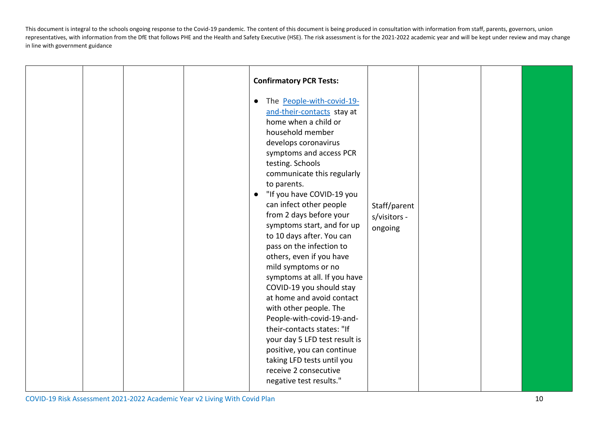|  |  | <b>Confirmatory PCR Tests:</b><br>The People-with-covid-19-<br>and-their-contacts stay at<br>home when a child or<br>household member<br>develops coronavirus<br>symptoms and access PCR<br>testing. Schools<br>communicate this regularly<br>to parents.<br>"If you have COVID-19 you<br>$\bullet$<br>can infect other people<br>from 2 days before your<br>symptoms start, and for up<br>to 10 days after. You can<br>pass on the infection to<br>others, even if you have<br>mild symptoms or no<br>symptoms at all. If you have<br>COVID-19 you should stay<br>at home and avoid contact<br>with other people. The<br>People-with-covid-19-and-<br>their-contacts states: "If<br>your day 5 LFD test result is<br>positive, you can continue<br>taking LFD tests until you<br>receive 2 consecutive | Staff/parent<br>s/visitors -<br>ongoing |  |  |
|--|--|---------------------------------------------------------------------------------------------------------------------------------------------------------------------------------------------------------------------------------------------------------------------------------------------------------------------------------------------------------------------------------------------------------------------------------------------------------------------------------------------------------------------------------------------------------------------------------------------------------------------------------------------------------------------------------------------------------------------------------------------------------------------------------------------------------|-----------------------------------------|--|--|
|  |  | negative test results."                                                                                                                                                                                                                                                                                                                                                                                                                                                                                                                                                                                                                                                                                                                                                                                 |                                         |  |  |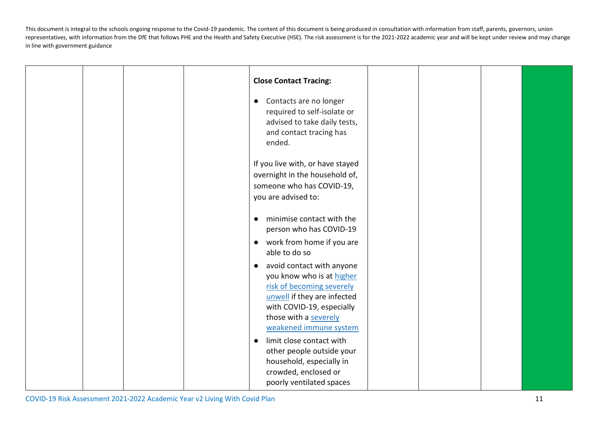|  |  | <b>Close Contact Tracing:</b>                                                                                                                                                                                                               |  |  |
|--|--|---------------------------------------------------------------------------------------------------------------------------------------------------------------------------------------------------------------------------------------------|--|--|
|  |  | Contacts are no longer<br>$\bullet$<br>required to self-isolate or<br>advised to take daily tests,<br>and contact tracing has<br>ended.                                                                                                     |  |  |
|  |  | If you live with, or have stayed<br>overnight in the household of,<br>someone who has COVID-19,<br>you are advised to:                                                                                                                      |  |  |
|  |  | minimise contact with the<br>$\bullet$<br>person who has COVID-19<br>work from home if you are<br>$\bullet$<br>able to do so                                                                                                                |  |  |
|  |  | avoid contact with anyone<br>$\bullet$<br>you know who is at higher<br>risk of becoming severely<br>unwell if they are infected<br>with COVID-19, especially<br>those with a severely<br>weakened immune system<br>limit close contact with |  |  |
|  |  | other people outside your<br>household, especially in<br>crowded, enclosed or<br>poorly ventilated spaces                                                                                                                                   |  |  |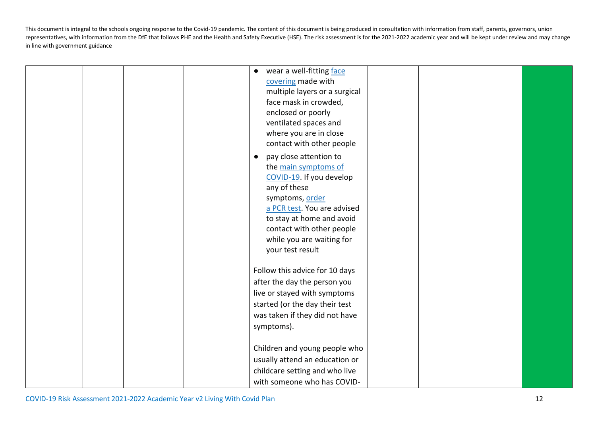|  |  | $\bullet$ | wear a well-fitting face       |  |  |
|--|--|-----------|--------------------------------|--|--|
|  |  |           | covering made with             |  |  |
|  |  |           | multiple layers or a surgical  |  |  |
|  |  |           | face mask in crowded,          |  |  |
|  |  |           | enclosed or poorly             |  |  |
|  |  |           | ventilated spaces and          |  |  |
|  |  |           | where you are in close         |  |  |
|  |  |           | contact with other people      |  |  |
|  |  | $\bullet$ | pay close attention to         |  |  |
|  |  |           | the main symptoms of           |  |  |
|  |  |           | COVID-19. If you develop       |  |  |
|  |  |           | any of these                   |  |  |
|  |  |           | symptoms, order                |  |  |
|  |  |           | a PCR test. You are advised    |  |  |
|  |  |           | to stay at home and avoid      |  |  |
|  |  |           | contact with other people      |  |  |
|  |  |           | while you are waiting for      |  |  |
|  |  |           | your test result               |  |  |
|  |  |           |                                |  |  |
|  |  |           | Follow this advice for 10 days |  |  |
|  |  |           | after the day the person you   |  |  |
|  |  |           | live or stayed with symptoms   |  |  |
|  |  |           | started (or the day their test |  |  |
|  |  |           | was taken if they did not have |  |  |
|  |  |           | symptoms).                     |  |  |
|  |  |           |                                |  |  |
|  |  |           | Children and young people who  |  |  |
|  |  |           | usually attend an education or |  |  |
|  |  |           | childcare setting and who live |  |  |
|  |  |           | with someone who has COVID-    |  |  |
|  |  |           |                                |  |  |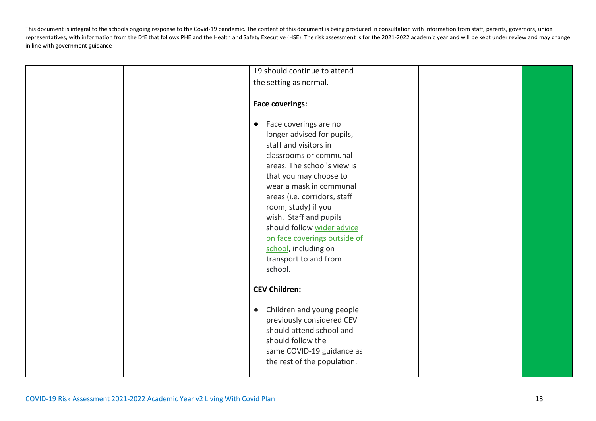|  | 19 should continue to attend           |  |  |
|--|----------------------------------------|--|--|
|  | the setting as normal.                 |  |  |
|  |                                        |  |  |
|  | <b>Face coverings:</b>                 |  |  |
|  |                                        |  |  |
|  | Face coverings are no<br>$\bullet$     |  |  |
|  | longer advised for pupils,             |  |  |
|  | staff and visitors in                  |  |  |
|  | classrooms or communal                 |  |  |
|  | areas. The school's view is            |  |  |
|  | that you may choose to                 |  |  |
|  | wear a mask in communal                |  |  |
|  | areas (i.e. corridors, staff           |  |  |
|  | room, study) if you                    |  |  |
|  | wish. Staff and pupils                 |  |  |
|  | should follow wider advice             |  |  |
|  | on face coverings outside of           |  |  |
|  | school, including on                   |  |  |
|  | transport to and from                  |  |  |
|  | school.                                |  |  |
|  |                                        |  |  |
|  | <b>CEV Children:</b>                   |  |  |
|  |                                        |  |  |
|  | Children and young people<br>$\bullet$ |  |  |
|  | previously considered CEV              |  |  |
|  | should attend school and               |  |  |
|  | should follow the                      |  |  |
|  | same COVID-19 guidance as              |  |  |
|  | the rest of the population.            |  |  |
|  |                                        |  |  |
|  |                                        |  |  |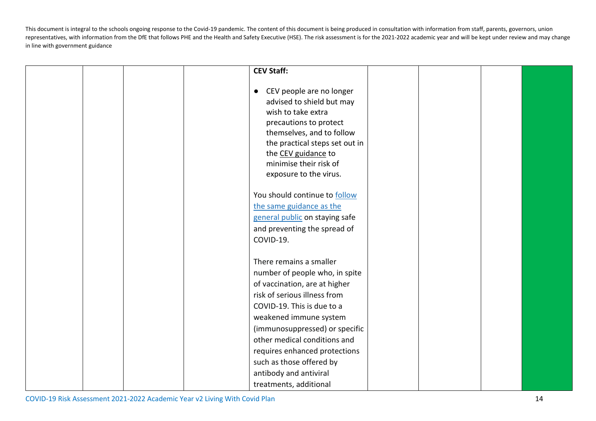|  |  | <b>CEV Staff:</b>                                                                                                                                                                                                                                            |  |  |
|--|--|--------------------------------------------------------------------------------------------------------------------------------------------------------------------------------------------------------------------------------------------------------------|--|--|
|  |  |                                                                                                                                                                                                                                                              |  |  |
|  |  | CEV people are no longer<br>$\bullet$<br>advised to shield but may<br>wish to take extra<br>precautions to protect<br>themselves, and to follow<br>the practical steps set out in<br>the CEV guidance to<br>minimise their risk of<br>exposure to the virus. |  |  |
|  |  | You should continue to follow                                                                                                                                                                                                                                |  |  |
|  |  | the same guidance as the                                                                                                                                                                                                                                     |  |  |
|  |  | general public on staying safe                                                                                                                                                                                                                               |  |  |
|  |  | and preventing the spread of                                                                                                                                                                                                                                 |  |  |
|  |  |                                                                                                                                                                                                                                                              |  |  |
|  |  | COVID-19.                                                                                                                                                                                                                                                    |  |  |
|  |  | There remains a smaller                                                                                                                                                                                                                                      |  |  |
|  |  | number of people who, in spite                                                                                                                                                                                                                               |  |  |
|  |  | of vaccination, are at higher                                                                                                                                                                                                                                |  |  |
|  |  | risk of serious illness from                                                                                                                                                                                                                                 |  |  |
|  |  |                                                                                                                                                                                                                                                              |  |  |
|  |  | COVID-19. This is due to a                                                                                                                                                                                                                                   |  |  |
|  |  | weakened immune system                                                                                                                                                                                                                                       |  |  |
|  |  | (immunosuppressed) or specific                                                                                                                                                                                                                               |  |  |
|  |  | other medical conditions and                                                                                                                                                                                                                                 |  |  |
|  |  | requires enhanced protections                                                                                                                                                                                                                                |  |  |
|  |  | such as those offered by                                                                                                                                                                                                                                     |  |  |
|  |  | antibody and antiviral                                                                                                                                                                                                                                       |  |  |
|  |  | treatments, additional                                                                                                                                                                                                                                       |  |  |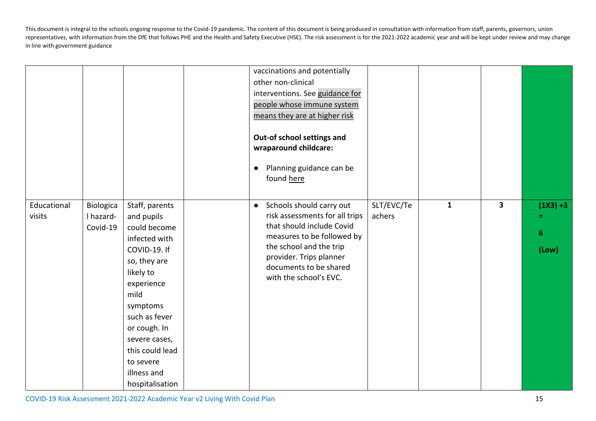|                       |                                    |                                                                                                                                                                                                                                                                  | vaccinations and potentially<br>other non-clinical<br>interventions. See guidance for<br>people whose immune system<br>means they are at higher risk<br>Out-of school settings and<br>wraparound childcare:<br>Planning guidance can be<br>$\bullet$<br>found here |                      |              |                         |                                               |
|-----------------------|------------------------------------|------------------------------------------------------------------------------------------------------------------------------------------------------------------------------------------------------------------------------------------------------------------|--------------------------------------------------------------------------------------------------------------------------------------------------------------------------------------------------------------------------------------------------------------------|----------------------|--------------|-------------------------|-----------------------------------------------|
| Educational<br>visits | Biologica<br>I hazard-<br>Covid-19 | Staff, parents<br>and pupils<br>could become<br>infected with<br>COVID-19. If<br>so, they are<br>likely to<br>experience<br>mild<br>symptoms<br>such as fever<br>or cough. In<br>severe cases,<br>this could lead<br>to severe<br>illness and<br>hospitalisation | Schools should carry out<br>$\bullet$<br>risk assessments for all trips<br>that should include Covid<br>measures to be followed by<br>the school and the trip<br>provider. Trips planner<br>documents to be shared<br>with the school's EVC.                       | SLT/EVC/Te<br>achers | $\mathbf{1}$ | $\overline{\mathbf{3}}$ | $(1X3) + 3$<br>Ξ<br>$\boldsymbol{6}$<br>(Low) |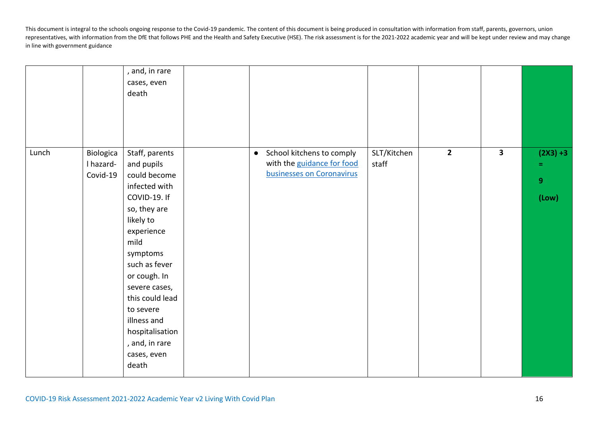|                       | , and, in rare<br>cases, even<br>death                                                                                                                     |                                                         |       |  |                     |
|-----------------------|------------------------------------------------------------------------------------------------------------------------------------------------------------|---------------------------------------------------------|-------|--|---------------------|
| I hazard-<br>Covid-19 | and pupils<br>could become<br>infected with<br>COVID-19. If<br>so, they are<br>likely to<br>experience<br>mild<br>symptoms                                 | with the guidance for food<br>businesses on Coronavirus | staff |  | =<br>$9\,$<br>(Low) |
|                       | such as fever<br>or cough. In<br>severe cases,<br>this could lead<br>to severe<br>illness and<br>hospitalisation<br>, and, in rare<br>cases, even<br>death |                                                         |       |  |                     |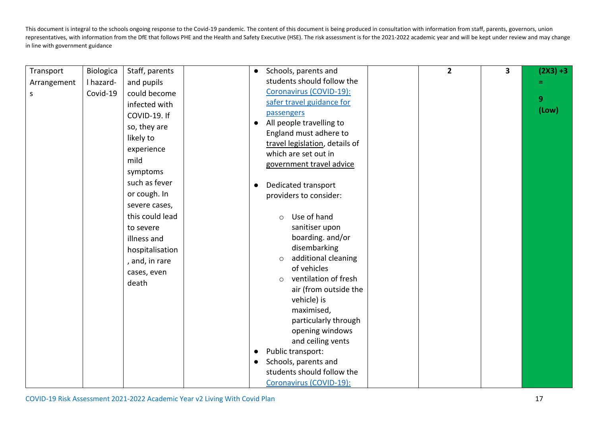| Transport   | Biologica | Staff, parents  | $\bullet$ | Schools, parents and            | $\overline{2}$ | 3 | $(2X3) + 3$ |
|-------------|-----------|-----------------|-----------|---------------------------------|----------------|---|-------------|
| Arrangement | I hazard- | and pupils      |           | students should follow the      |                |   |             |
| S           | Covid-19  | could become    |           | Coronavirus (COVID-19):         |                |   |             |
|             |           | infected with   |           | safer travel guidance for       |                |   | 9           |
|             |           | COVID-19. If    |           | passengers                      |                |   | (Low)       |
|             |           | so, they are    | $\bullet$ | All people travelling to        |                |   |             |
|             |           | likely to       |           | England must adhere to          |                |   |             |
|             |           | experience      |           | travel legislation, details of  |                |   |             |
|             |           | mild            |           | which are set out in            |                |   |             |
|             |           |                 |           | government travel advice        |                |   |             |
|             |           | symptoms        |           |                                 |                |   |             |
|             |           | such as fever   | $\bullet$ | Dedicated transport             |                |   |             |
|             |           | or cough. In    |           | providers to consider:          |                |   |             |
|             |           | severe cases,   |           |                                 |                |   |             |
|             |           | this could lead |           | Use of hand<br>$\circ$          |                |   |             |
|             |           | to severe       |           | sanitiser upon                  |                |   |             |
|             |           | illness and     |           | boarding. and/or                |                |   |             |
|             |           | hospitalisation |           | disembarking                    |                |   |             |
|             |           | , and, in rare  |           | additional cleaning<br>$\circ$  |                |   |             |
|             |           | cases, even     |           | of vehicles                     |                |   |             |
|             |           | death           |           | ventilation of fresh<br>$\circ$ |                |   |             |
|             |           |                 |           | air (from outside the           |                |   |             |
|             |           |                 |           | vehicle) is                     |                |   |             |
|             |           |                 |           | maximised,                      |                |   |             |
|             |           |                 |           | particularly through            |                |   |             |
|             |           |                 |           | opening windows                 |                |   |             |
|             |           |                 |           | and ceiling vents               |                |   |             |
|             |           |                 | $\bullet$ | Public transport:               |                |   |             |
|             |           |                 | $\bullet$ | Schools, parents and            |                |   |             |
|             |           |                 |           | students should follow the      |                |   |             |
|             |           |                 |           | Coronavirus (COVID-19):         |                |   |             |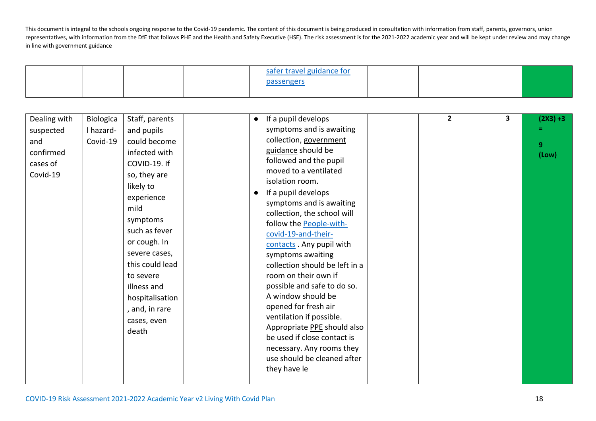|                                                                       |                                    |                                                                                                                                                                                                                                                                                                            |                        | safer travel guidance for<br>passengers                                                                                                                                                                                                                                                                                                                                                                                                                                                                                                                                                                                                                                  |                |   |                                |
|-----------------------------------------------------------------------|------------------------------------|------------------------------------------------------------------------------------------------------------------------------------------------------------------------------------------------------------------------------------------------------------------------------------------------------------|------------------------|--------------------------------------------------------------------------------------------------------------------------------------------------------------------------------------------------------------------------------------------------------------------------------------------------------------------------------------------------------------------------------------------------------------------------------------------------------------------------------------------------------------------------------------------------------------------------------------------------------------------------------------------------------------------------|----------------|---|--------------------------------|
| Dealing with<br>suspected<br>and<br>confirmed<br>cases of<br>Covid-19 | Biologica<br>I hazard-<br>Covid-19 | Staff, parents<br>and pupils<br>could become<br>infected with<br>COVID-19. If<br>so, they are<br>likely to<br>experience<br>mild<br>symptoms<br>such as fever<br>or cough. In<br>severe cases,<br>this could lead<br>to severe<br>illness and<br>hospitalisation<br>, and, in rare<br>cases, even<br>death | $\bullet$<br>$\bullet$ | If a pupil develops<br>symptoms and is awaiting<br>collection, government<br>guidance should be<br>followed and the pupil<br>moved to a ventilated<br>isolation room.<br>If a pupil develops<br>symptoms and is awaiting<br>collection, the school will<br>follow the People-with-<br>covid-19-and-their-<br>contacts . Any pupil with<br>symptoms awaiting<br>collection should be left in a<br>room on their own if<br>possible and safe to do so.<br>A window should be<br>opened for fresh air<br>ventilation if possible.<br>Appropriate PPE should also<br>be used if close contact is<br>necessary. Any rooms they<br>use should be cleaned after<br>they have le | $\overline{2}$ | 3 | $(2X3) + 3$<br>Ξ<br>9<br>(Low) |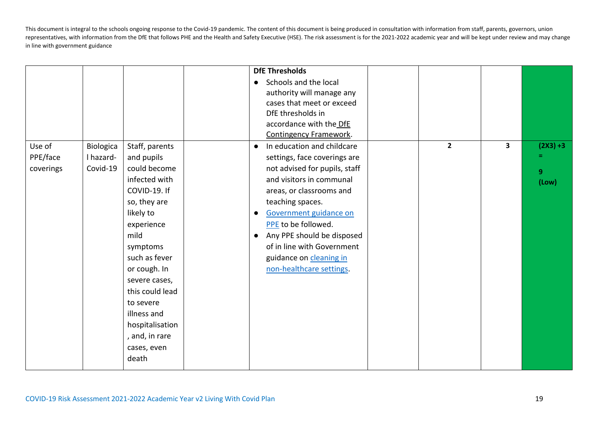|                                 |                                    |                                                                                                                                                                                                                                                                                                            | <b>DfE Thresholds</b><br>Schools and the local<br>$\bullet$<br>authority will manage any<br>cases that meet or exceed<br>DfE thresholds in<br>accordance with the DfE<br>Contingency Framework.                                                                                                                                                                                    |                |                         |                                        |
|---------------------------------|------------------------------------|------------------------------------------------------------------------------------------------------------------------------------------------------------------------------------------------------------------------------------------------------------------------------------------------------------|------------------------------------------------------------------------------------------------------------------------------------------------------------------------------------------------------------------------------------------------------------------------------------------------------------------------------------------------------------------------------------|----------------|-------------------------|----------------------------------------|
| Use of<br>PPE/face<br>coverings | Biologica<br>I hazard-<br>Covid-19 | Staff, parents<br>and pupils<br>could become<br>infected with<br>COVID-19. If<br>so, they are<br>likely to<br>experience<br>mild<br>symptoms<br>such as fever<br>or cough. In<br>severe cases,<br>this could lead<br>to severe<br>illness and<br>hospitalisation<br>, and, in rare<br>cases, even<br>death | In education and childcare<br>$\bullet$<br>settings, face coverings are<br>not advised for pupils, staff<br>and visitors in communal<br>areas, or classrooms and<br>teaching spaces.<br>Government guidance on<br>$\bullet$<br>PPE to be followed.<br>Any PPE should be disposed<br>$\bullet$<br>of in line with Government<br>guidance on cleaning in<br>non-healthcare settings. | $\overline{2}$ | $\overline{\mathbf{3}}$ | $(2X3) + 3$<br>9 <sup>°</sup><br>(Low) |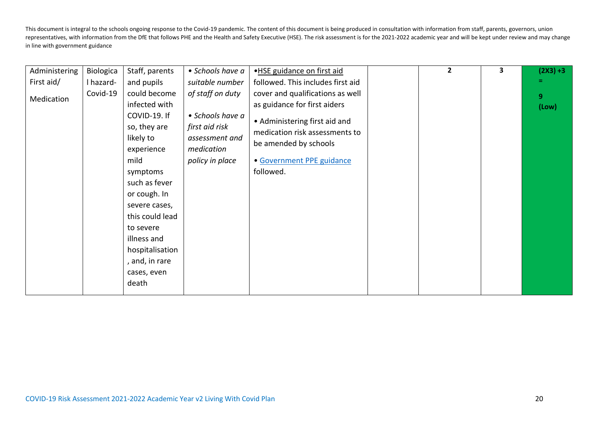| Administering | Biologica | Staff, parents  | • Schools have a | .HSE guidance on first aid        | $\overline{2}$ | 3 | $(2X3) + 3$    |
|---------------|-----------|-----------------|------------------|-----------------------------------|----------------|---|----------------|
| First aid/    | I hazard- | and pupils      | suitable number  | followed. This includes first aid |                |   |                |
| Medication    | Covid-19  | could become    | of staff on duty | cover and qualifications as well  |                |   | 9 <sup>°</sup> |
|               |           | infected with   |                  | as guidance for first aiders      |                |   | (Low)          |
|               |           | COVID-19. If    | • Schools have a | • Administering first aid and     |                |   |                |
|               |           | so, they are    | first aid risk   | medication risk assessments to    |                |   |                |
|               |           | likely to       | assessment and   | be amended by schools             |                |   |                |
|               |           | experience      | medication       |                                   |                |   |                |
|               |           | mild            | policy in place  | • Government PPE guidance         |                |   |                |
|               |           | symptoms        |                  | followed.                         |                |   |                |
|               |           | such as fever   |                  |                                   |                |   |                |
|               |           | or cough. In    |                  |                                   |                |   |                |
|               |           | severe cases,   |                  |                                   |                |   |                |
|               |           | this could lead |                  |                                   |                |   |                |
|               |           | to severe       |                  |                                   |                |   |                |
|               |           | illness and     |                  |                                   |                |   |                |
|               |           | hospitalisation |                  |                                   |                |   |                |
|               |           | , and, in rare  |                  |                                   |                |   |                |
|               |           | cases, even     |                  |                                   |                |   |                |
|               |           | death           |                  |                                   |                |   |                |
|               |           |                 |                  |                                   |                |   |                |